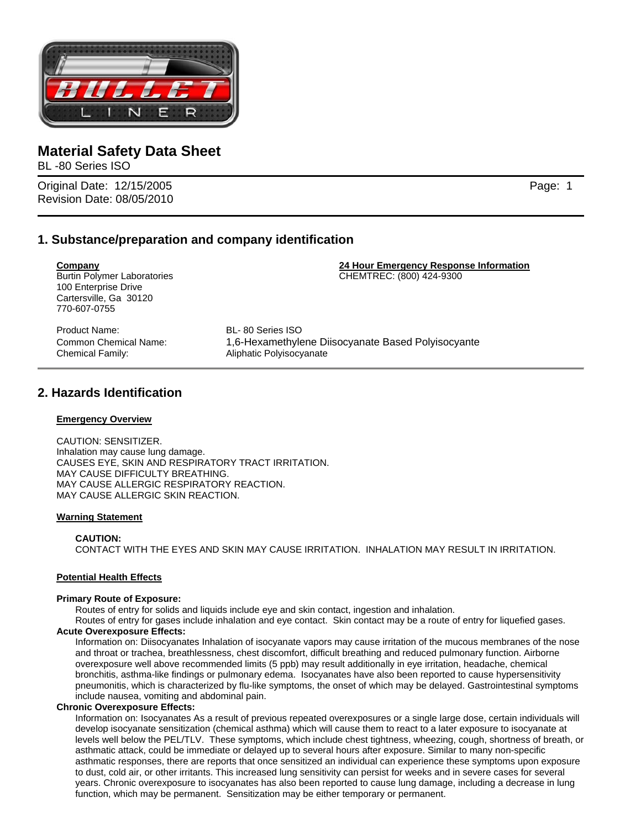

BL -80 Series ISO

Original Date: 12/15/2005 Page: 1 Revision Date: 08/05/2010

# **1. Substance/preparation and company identification**

**Company 24 Hour Emergency Response Information** Burtin Polymer Laboratories **CHEMTREC: (800) 424-9300** 100 Enterprise Drive Cartersville, Ga 30120 770-607-0755 Product Name: BL- 80 Series ISO

Chemical Family: Aliphatic Polyisocyanate

Common Chemical Name: 1,6-Hexamethylene Diisocyanate Based Polyisocyante

# **2. Hazards Identification**

### **Emergency Overview**

CAUTION: SENSITIZER. Inhalation may cause lung damage. CAUSES EYE, SKIN AND RESPIRATORY TRACT IRRITATION. MAY CAUSE DIFFICULTY BREATHING. MAY CAUSE ALLERGIC RESPIRATORY REACTION. MAY CAUSE ALLERGIC SKIN REACTION.

#### **Warning Statement**

#### **CAUTION:**

CONTACT WITH THE EYES AND SKIN MAY CAUSE IRRITATION. INHALATION MAY RESULT IN IRRITATION.

#### **Potential Health Effects**

#### **Primary Route of Exposure:**

Routes of entry for solids and liquids include eye and skin contact, ingestion and inhalation.

Routes of entry for gases include inhalation and eye contact. Skin contact may be a route of entry for liquefied gases. **Acute Overexposure Effects:** 

Information on: Diisocyanates Inhalation of isocyanate vapors may cause irritation of the mucous membranes of the nose and throat or trachea, breathlessness, chest discomfort, difficult breathing and reduced pulmonary function. Airborne overexposure well above recommended limits (5 ppb) may result additionally in eye irritation, headache, chemical bronchitis, asthma-like findings or pulmonary edema. Isocyanates have also been reported to cause hypersensitivity pneumonitis, which is characterized by flu-like symptoms, the onset of which may be delayed. Gastrointestinal symptoms include nausea, vomiting and abdominal pain.

#### **Chronic Overexposure Effects:**

Information on: Isocyanates As a result of previous repeated overexposures or a single large dose, certain individuals will develop isocyanate sensitization (chemical asthma) which will cause them to react to a later exposure to isocyanate at levels well below the PEL/TLV. These symptoms, which include chest tightness, wheezing, cough, shortness of breath, or asthmatic attack, could be immediate or delayed up to several hours after exposure. Similar to many non-specific asthmatic responses, there are reports that once sensitized an individual can experience these symptoms upon exposure to dust, cold air, or other irritants. This increased lung sensitivity can persist for weeks and in severe cases for several years. Chronic overexposure to isocyanates has also been reported to cause lung damage, including a decrease in lung function, which may be permanent. Sensitization may be either temporary or permanent.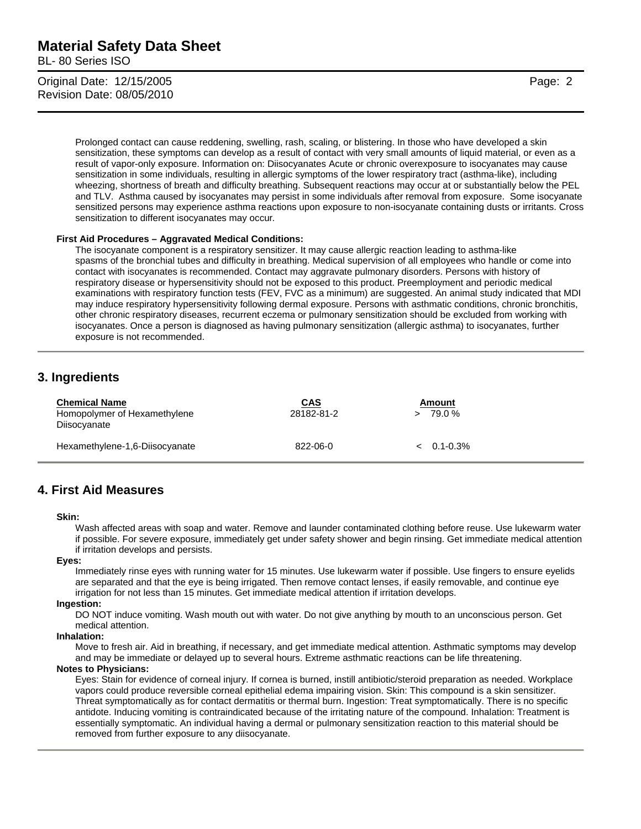BL- 80 Series ISO

Original Date: 12/15/2005 Page: 2 Revision Date: 08/05/2010

Prolonged contact can cause reddening, swelling, rash, scaling, or blistering. In those who have developed a skin sensitization, these symptoms can develop as a result of contact with very small amounts of liquid material, or even as a result of vapor-only exposure. Information on: Diisocyanates Acute or chronic overexposure to isocyanates may cause sensitization in some individuals, resulting in allergic symptoms of the lower respiratory tract (asthma-like), including wheezing, shortness of breath and difficulty breathing. Subsequent reactions may occur at or substantially below the PEL and TLV. Asthma caused by isocyanates may persist in some individuals after removal from exposure. Some isocyanate sensitized persons may experience asthma reactions upon exposure to non-isocyanate containing dusts or irritants. Cross sensitization to different isocyanates may occur*.* 

#### **First Aid Procedures – Aggravated Medical Conditions:**

The isocyanate component is a respiratory sensitizer. It may cause allergic reaction leading to asthma-like spasms of the bronchial tubes and difficulty in breathing. Medical supervision of all employees who handle or come into contact with isocyanates is recommended. Contact may aggravate pulmonary disorders. Persons with history of respiratory disease or hypersensitivity should not be exposed to this product. Preemployment and periodic medical examinations with respiratory function tests (FEV, FVC as a minimum) are suggested. An animal study indicated that MDI may induce respiratory hypersensitivity following dermal exposure. Persons with asthmatic conditions, chronic bronchitis, other chronic respiratory diseases, recurrent eczema or pulmonary sensitization should be excluded from working with isocyanates. Once a person is diagnosed as having pulmonary sensitization (allergic asthma) to isocyanates, further exposure is not recommended.

# **3. Ingredients**

| <b>Chemical Name</b><br>Homopolymer of Hexamethylene<br>Diisocyanate | <u>CAS</u><br>28182-81-2 | Amount<br>79.0 %   |
|----------------------------------------------------------------------|--------------------------|--------------------|
| Hexamethylene-1,6-Diisocyanate                                       | 822-06-0                 | $\leq 0.1 - 0.3\%$ |

### **4. First Aid Measures**

**Skin:** 

Wash affected areas with soap and water. Remove and launder contaminated clothing before reuse. Use lukewarm water if possible. For severe exposure, immediately get under safety shower and begin rinsing. Get immediate medical attention if irritation develops and persists.

**Eyes:** 

Immediately rinse eyes with running water for 15 minutes. Use lukewarm water if possible. Use fingers to ensure eyelids are separated and that the eye is being irrigated. Then remove contact lenses, if easily removable, and continue eye irrigation for not less than 15 minutes. Get immediate medical attention if irritation develops.

#### **Ingestion:**

DO NOT induce vomiting. Wash mouth out with water. Do not give anything by mouth to an unconscious person. Get medical attention.

#### **Inhalation:**

Move to fresh air. Aid in breathing, if necessary, and get immediate medical attention. Asthmatic symptoms may develop and may be immediate or delayed up to several hours. Extreme asthmatic reactions can be life threatening.

#### **Notes to Physicians:**

Eyes: Stain for evidence of corneal injury. If cornea is burned, instill antibiotic/steroid preparation as needed. Workplace vapors could produce reversible corneal epithelial edema impairing vision. Skin: This compound is a skin sensitizer. Threat symptomatically as for contact dermatitis or thermal burn. Ingestion: Treat symptomatically. There is no specific antidote. Inducing vomiting is contraindicated because of the irritating nature of the compound. Inhalation: Treatment is essentially symptomatic. An individual having a dermal or pulmonary sensitization reaction to this material should be removed from further exposure to any diisocyanate.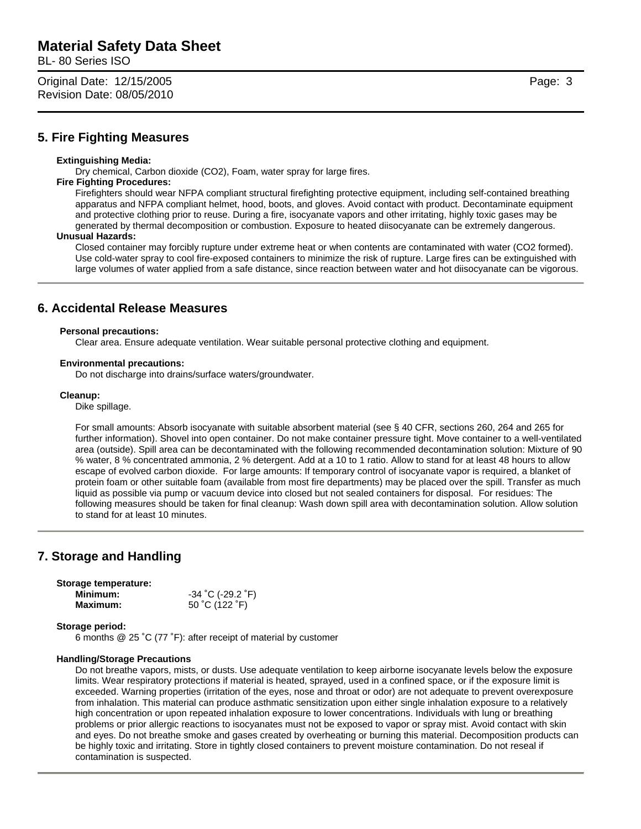BL- 80 Series ISO

Original Date: 12/15/2005 Page: 3 Revision Date: 08/05/2010

### **5. Fire Fighting Measures**

#### **Extinguishing Media:**

Dry chemical, Carbon dioxide (CO2), Foam, water spray for large fires.

#### **Fire Fighting Procedures:**

Firefighters should wear NFPA compliant structural firefighting protective equipment, including self-contained breathing apparatus and NFPA compliant helmet, hood, boots, and gloves. Avoid contact with product. Decontaminate equipment and protective clothing prior to reuse. During a fire, isocyanate vapors and other irritating, highly toxic gases may be generated by thermal decomposition or combustion. Exposure to heated diisocyanate can be extremely dangerous.

#### **Unusual Hazards:**

Closed container may forcibly rupture under extreme heat or when contents are contaminated with water (CO2 formed). Use cold-water spray to cool fire-exposed containers to minimize the risk of rupture. Large fires can be extinguished with large volumes of water applied from a safe distance, since reaction between water and hot diisocyanate can be vigorous.

### **6. Accidental Release Measures**

#### **Personal precautions:**

Clear area. Ensure adequate ventilation. Wear suitable personal protective clothing and equipment.

#### **Environmental precautions:**

Do not discharge into drains/surface waters/groundwater.

#### **Cleanup:**

Dike spillage.

For small amounts: Absorb isocyanate with suitable absorbent material (see § 40 CFR, sections 260, 264 and 265 for further information). Shovel into open container. Do not make container pressure tight. Move container to a well-ventilated area (outside). Spill area can be decontaminated with the following recommended decontamination solution: Mixture of 90 % water, 8 % concentrated ammonia, 2 % detergent. Add at a 10 to 1 ratio. Allow to stand for at least 48 hours to allow escape of evolved carbon dioxide. For large amounts: If temporary control of isocyanate vapor is required, a blanket of protein foam or other suitable foam (available from most fire departments) may be placed over the spill. Transfer as much liquid as possible via pump or vacuum device into closed but not sealed containers for disposal. For residues: The following measures should be taken for final cleanup: Wash down spill area with decontamination solution. Allow solution to stand for at least 10 minutes.

# **7. Storage and Handling**

#### **Storage temperature:**

| Minimum:        | $-34$ °C (-29.2 °F) |
|-----------------|---------------------|
| <b>Maximum:</b> | 50 °C (122 °F)      |

#### **Storage period:**

6 months @ 25 ˚C (77 ˚F): after receipt of material by customer

#### **Handling/Storage Precautions**

Do not breathe vapors, mists, or dusts. Use adequate ventilation to keep airborne isocyanate levels below the exposure limits. Wear respiratory protections if material is heated, sprayed, used in a confined space, or if the exposure limit is exceeded. Warning properties (irritation of the eyes, nose and throat or odor) are not adequate to prevent overexposure from inhalation. This material can produce asthmatic sensitization upon either single inhalation exposure to a relatively high concentration or upon repeated inhalation exposure to lower concentrations. Individuals with lung or breathing problems or prior allergic reactions to isocyanates must not be exposed to vapor or spray mist. Avoid contact with skin and eyes. Do not breathe smoke and gases created by overheating or burning this material. Decomposition products can be highly toxic and irritating. Store in tightly closed containers to prevent moisture contamination. Do not reseal if contamination is suspected.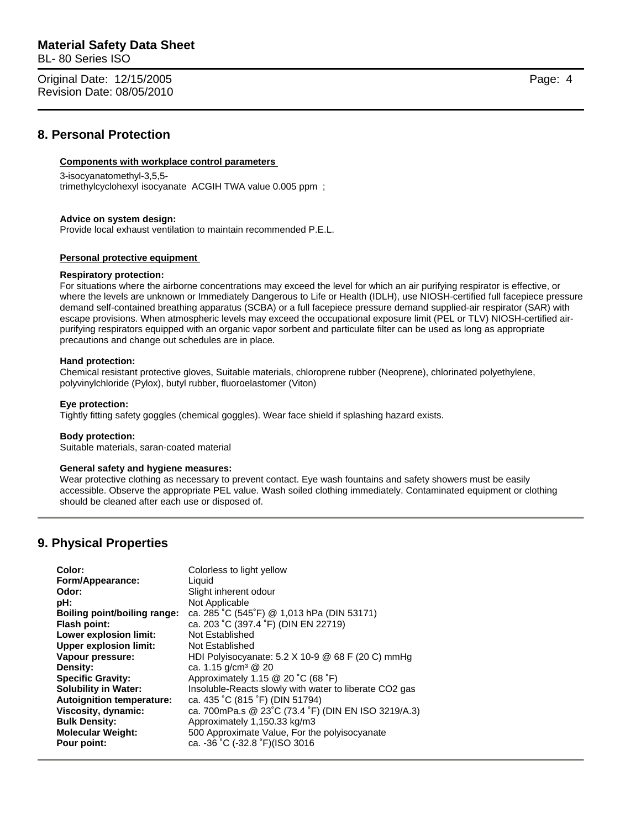BL- 80 Series ISO

Original Date: 12/15/2005 Page: 4 Revision Date: 08/05/2010

## **8. Personal Protection**

### **Components with workplace control parameters**

#### 3-isocyanatomethyl-3,5,5-

trimethylcyclohexyl isocyanate ACGIH TWA value 0.005 ppm ;

#### **Advice on system design:**

Provide local exhaust ventilation to maintain recommended P.E.L.

#### **Personal protective equipment**

#### **Respiratory protection:**

For situations where the airborne concentrations may exceed the level for which an air purifying respirator is effective, or where the levels are unknown or Immediately Dangerous to Life or Health (IDLH), use NIOSH-certified full facepiece pressure demand self-contained breathing apparatus (SCBA) or a full facepiece pressure demand supplied-air respirator (SAR) with escape provisions. When atmospheric levels may exceed the occupational exposure limit (PEL or TLV) NIOSH-certified airpurifying respirators equipped with an organic vapor sorbent and particulate filter can be used as long as appropriate precautions and change out schedules are in place.

#### **Hand protection:**

Chemical resistant protective gloves, Suitable materials, chloroprene rubber (Neoprene), chlorinated polyethylene, polyvinylchloride (Pylox), butyl rubber, fluoroelastomer (Viton)

#### **Eye protection:**

Tightly fitting safety goggles (chemical goggles). Wear face shield if splashing hazard exists.

#### **Body protection:**

Suitable materials, saran-coated material

#### **General safety and hygiene measures:**

Wear protective clothing as necessary to prevent contact. Eye wash fountains and safety showers must be easily accessible. Observe the appropriate PEL value. Wash soiled clothing immediately. Contaminated equipment or clothing should be cleaned after each use or disposed of.

# **9. Physical Properties**

| Color:                           | Colorless to light yellow                              |
|----------------------------------|--------------------------------------------------------|
| Form/Appearance:                 | Liquid                                                 |
| Odor:                            | Slight inherent odour                                  |
| pH:                              | Not Applicable                                         |
| Boiling point/boiling range:     | ca. 285 °C (545°F) @ 1,013 hPa (DIN 53171)             |
| <b>Flash point:</b>              | ca. 203 °C (397.4 °F) (DIN EN 22719)                   |
| Lower explosion limit:           | Not Established                                        |
| <b>Upper explosion limit:</b>    | Not Established                                        |
| Vapour pressure:                 | HDI Polyisocyanate: 5.2 X 10-9 @ 68 F (20 C) mmHg      |
| Density:                         | ca. 1.15 g/cm <sup>3</sup> @ 20                        |
| <b>Specific Gravity:</b>         | Approximately 1.15 @ 20 °C (68 °F)                     |
| <b>Solubility in Water:</b>      | Insoluble-Reacts slowly with water to liberate CO2 gas |
| <b>Autoignition temperature:</b> | ca. 435 °C (815 °F) (DIN 51794)                        |
| Viscosity, dynamic:              | ca. 700mPa.s @ 23°C (73.4 °F) (DIN EN ISO 3219/A.3)    |
| <b>Bulk Density:</b>             | Approximately 1,150.33 kg/m3                           |
| <b>Molecular Weight:</b>         | 500 Approximate Value, For the polyisocyanate          |
| Pour point:                      | ca. -36 °C (-32.8 °F)(ISO 3016                         |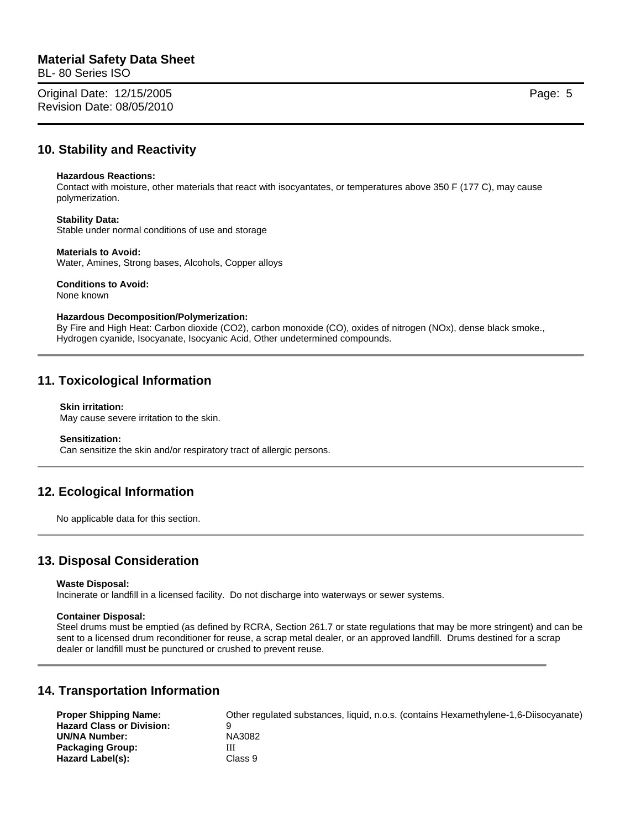BL- 80 Series ISO

Original Date: 12/15/2005 Page: 5 Revision Date: 08/05/2010

# **10. Stability and Reactivity**

#### **Hazardous Reactions:**

Contact with moisture, other materials that react with isocyantates, or temperatures above 350 F (177 C), may cause polymerization.

#### **Stability Data:**

Stable under normal conditions of use and storage

#### **Materials to Avoid:**

Water, Amines, Strong bases, Alcohols, Copper alloys

# **Conditions to Avoid:**

None known

#### **Hazardous Decomposition/Polymerization:**

By Fire and High Heat: Carbon dioxide (CO2), carbon monoxide (CO), oxides of nitrogen (NOx), dense black smoke., Hydrogen cyanide, Isocyanate, Isocyanic Acid, Other undetermined compounds.

# **11. Toxicological Information**

#### **Skin irritation:**

May cause severe irritation to the skin.

#### **Sensitization:**

Can sensitize the skin and/or respiratory tract of allergic persons.

# **12. Ecological Information**

No applicable data for this section.

# **13. Disposal Consideration**

#### **Waste Disposal:**

Incinerate or landfill in a licensed facility. Do not discharge into waterways or sewer systems.

#### **Container Disposal:**

Steel drums must be emptied (as defined by RCRA, Section 261.7 or state regulations that may be more stringent) and can be sent to a licensed drum reconditioner for reuse, a scrap metal dealer, or an approved landfill. Drums destined for a scrap dealer or landfill must be punctured or crushed to prevent reuse.

# **14. Transportation Information**

| <b>Proper Shipping Name:</b>     | Other regulated substances, liquid, n.o.s. (contains Hexamethylene-1,6-Diisocyanate) |
|----------------------------------|--------------------------------------------------------------------------------------|
| <b>Hazard Class or Division:</b> | a                                                                                    |
| <b>UN/NA Number:</b>             | NA3082                                                                               |
| <b>Packaging Group:</b>          | Ш                                                                                    |
| Hazard Label(s):                 | Class 9                                                                              |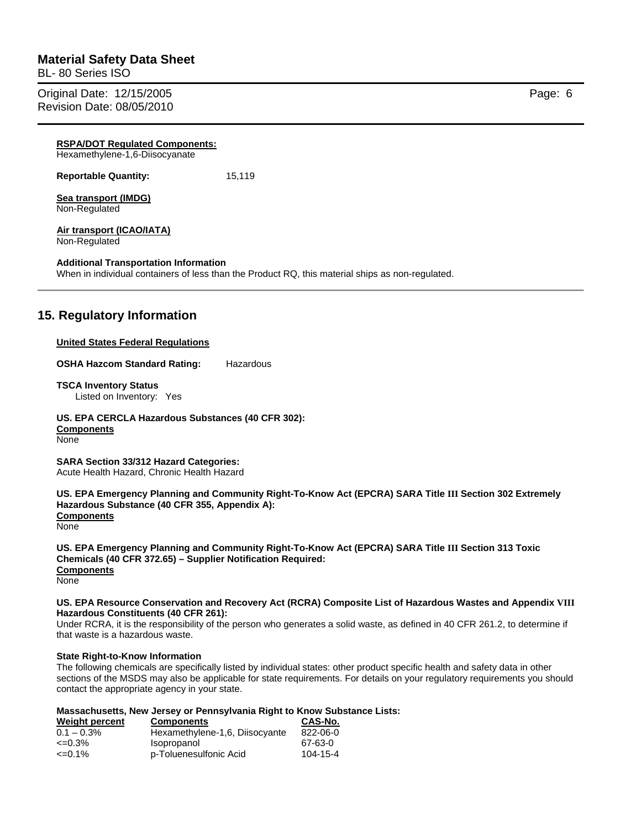BL- 80 Series ISO

Original Date: 12/15/2005 **Page: 6** Revision Date: 08/05/2010

| <b>RSPA/DOT Requiated Components:</b><br>Hexamethylene-1,6-Diisocyanate |                                                                                                  |
|-------------------------------------------------------------------------|--------------------------------------------------------------------------------------------------|
| <b>Reportable Quantity:</b>                                             | 15,119                                                                                           |
| Sea transport (IMDG)<br>Non-Regulated                                   |                                                                                                  |
| Air transport (ICAO/IATA)<br>Non-Regulated                              |                                                                                                  |
| <b>Additional Transportation Information</b>                            | When in individual containers of less than the Product RQ, this material ships as non-regulated. |
| 15. Regulatory Information                                              |                                                                                                  |

#### **United States Federal Regulations**

**OSHA Hazcom Standard Rating:** Hazardous

**TSCA Inventory Status** 

Listed on Inventory: Yes

**US. EPA CERCLA Hazardous Substances (40 CFR 302):** 

**Components** None

**SARA Section 33/312 Hazard Categories:**  Acute Health Hazard, Chronic Health Hazard

**US. EPA Emergency Planning and Community Right-To-Know Act (EPCRA) SARA Title III Section 302 Extremely Hazardous Substance (40 CFR 355, Appendix A): Components** None

**US. EPA Emergency Planning and Community Right-To-Know Act (EPCRA) SARA Title III Section 313 Toxic Chemicals (40 CFR 372.65) – Supplier Notification Required: Components None** 

**US. EPA Resource Conservation and Recovery Act (RCRA) Composite List of Hazardous Wastes and Appendix VIII Hazardous Constituents (40 CFR 261):** 

Under RCRA, it is the responsibility of the person who generates a solid waste, as defined in 40 CFR 261.2, to determine if that waste is a hazardous waste.

#### **State Right-to-Know Information**

The following chemicals are specifically listed by individual states: other product specific health and safety data in other sections of the MSDS may also be applicable for state requirements. For details on your regulatory requirements you should contact the appropriate agency in your state.

#### **Massachusetts, New Jersey or Pennsylvania Right to Know Substance Lists:**

| Weight percent     | <b>Components</b>              | CAS-No.  |  |
|--------------------|--------------------------------|----------|--|
| $0.1 - 0.3\%$      | Hexamethylene-1,6, Diisocyante | 822-06-0 |  |
| $\epsilon = 0.3\%$ | <b>Isopropanol</b>             | 67-63-0  |  |
| $\leq 0.1\%$       | p-Toluenesulfonic Acid         | 104-15-4 |  |